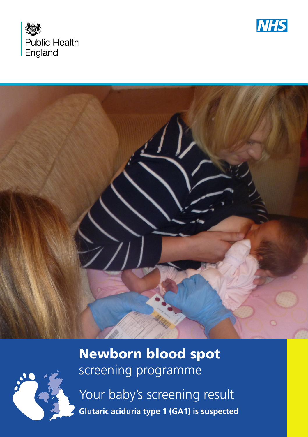





### Newborn blood spot screening programme

Your baby's screening result **Glutaric aciduria type 1 (GA1) is suspected**

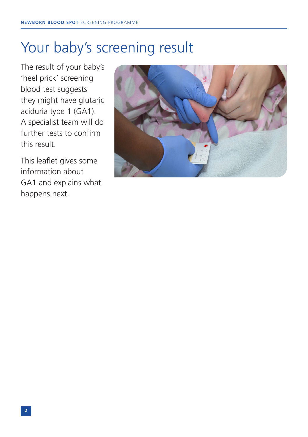# Your baby's screening result

The result of your baby's 'heel prick' screening blood test suggests they might have glutaric aciduria type 1 (GA1). A specialist team will do further tests to confirm this result.

This leaflet gives some information about GA1 and explains what happens next.

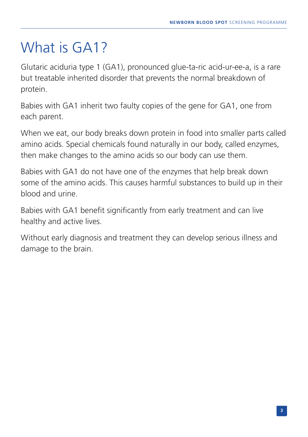# What is GA1?

Glutaric aciduria type 1 (GA1), pronounced glue-ta-ric acid-ur-ee-a, is a rare but treatable inherited disorder that prevents the normal breakdown of protein.

Babies with GA1 inherit two faulty copies of the gene for GA1, one from each parent.

When we eat, our body breaks down protein in food into smaller parts called amino acids. Special chemicals found naturally in our body, called enzymes, then make changes to the amino acids so our body can use them.

Babies with GA1 do not have one of the enzymes that help break down some of the amino acids. This causes harmful substances to build up in their blood and urine.

Babies with GA1 benefit significantly from early treatment and can live healthy and active lives.

Without early diagnosis and treatment they can develop serious illness and damage to the brain.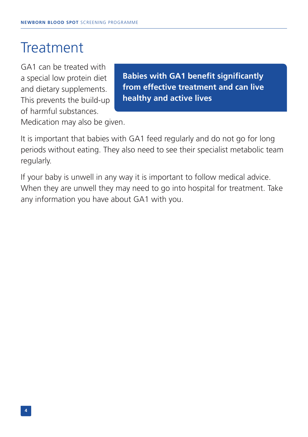## **Treatment**

GA1 can be treated with a special low protein diet and dietary supplements. This prevents the build-up of harmful substances.

**Babies with GA1 benefit significantly from effective treatment and can live healthy and active lives**

Medication may also be given.

It is important that babies with GA1 feed regularly and do not go for long periods without eating. They also need to see their specialist metabolic team regularly.

If your baby is unwell in any way it is important to follow medical advice. When they are unwell they may need to go into hospital for treatment. Take any information you have about GA1 with you.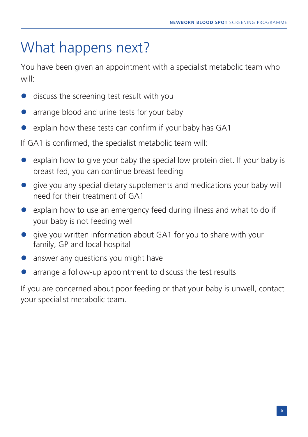# What happens next?

You have been given an appointment with a specialist metabolic team who will:

- discuss the screening test result with you
- arrange blood and urine tests for your baby
- explain how these tests can confirm if your baby has GA1

If GA1 is confirmed, the specialist metabolic team will:

- explain how to give your baby the special low protein diet. If your baby is breast fed, you can continue breast feeding
- **•** give you any special dietary supplements and medications your baby will need for their treatment of GA1
- explain how to use an emergency feed during illness and what to do if your baby is not feeding well
- **o** give you written information about GA1 for you to share with your family, GP and local hospital
- answer any questions you might have
- arrange a follow-up appointment to discuss the test results

If you are concerned about poor feeding or that your baby is unwell, contact your specialist metabolic team.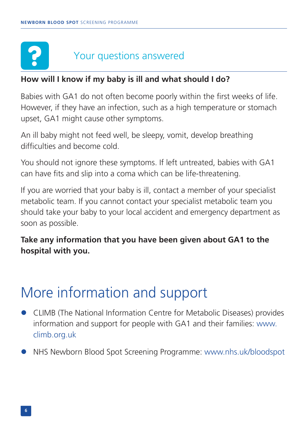#### Your questions answered

#### **How will I know if my baby is ill and what should I do?**

Babies with GA1 do not often become poorly within the first weeks of life. However, if they have an infection, such as a high temperature or stomach upset, GA1 might cause other symptoms.

An ill baby might not feed well, be sleepy, vomit, develop breathing difficulties and become cold.

You should not ignore these symptoms. If left untreated, babies with GA1 can have fits and slip into a coma which can be life-threatening.

If you are worried that your baby is ill, contact a member of your specialist metabolic team. If you cannot contact your specialist metabolic team you should take your baby to your local accident and emergency department as soon as possible.

**Take any information that you have been given about GA1 to the hospital with you.** 

## More information and support

- l CLIMB (The National Information Centre for Metabolic Diseases) provides information and support for people with GA1 and their families: www. climb.org.uk
- l NHS Newborn Blood Spot Screening Programme: www.nhs.uk/bloodspot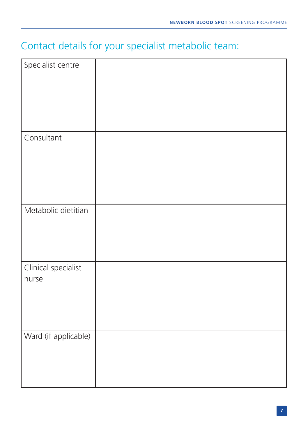#### Contact details for your specialist metabolic team:

| Specialist centre            |  |
|------------------------------|--|
| Consultant                   |  |
| Metabolic dietitian          |  |
| Clinical specialist<br>nurse |  |
| Ward (if applicable)         |  |